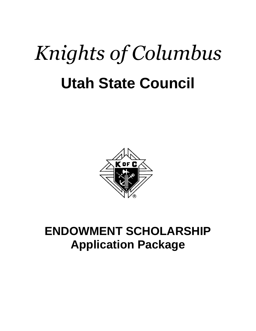# *Knights of Columbus* **Utah State Council**



# **ENDOWMENT SCHOLARSHIP Application Package**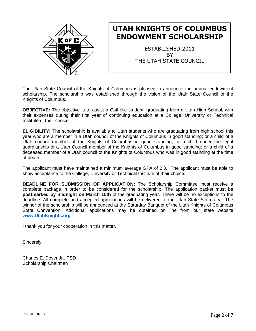

### **UTAH KNIGHTS OF COLUMBUS ENDOWMENT SCHOLARSHIP**

ESTABLISHED 2011 **BY** THE UTAH STATE COUNCIL

The Utah State Council of the Knights of Columbus is pleased to announce the annual endowment scholarship. The scholarship was established through the vision of the Utah State Council of the Knights of Columbus.

**OBJECTIVE:** The objective is to assist a Catholic student, graduating from a Utah High School, with their expenses during their first year of continuing education at a College, University or Technical Institute of their choice.

**ELIGIBILITY:** The scholarship is available to Utah students who are graduating from high school this year who are a member in a Utah council of the Knights of Columbus in good standing; or a child of a Utah council member of the Knights of Columbus in good standing; or a child under the legal guardianship of a Utah Council member of the Knights of Columbus in good standing; or a child of a deceased member of a Utah council of the Knights of Columbus who was in good standing at the time of death.

The applicant must have maintained a minimum average GPA of 2.0. The applicant must be able to show acceptance to the College, University or Technical Institute of their choice.

**DEADLINE FOR SUBMISSION OF APPLICATION:** The Scholarship Committee must receive a complete package in order to be considered for the scholarship. The application packet must be **postmarked by midnight on March 15th** of the graduating year. There will be no exceptions to the deadline. All complete and accepted applications will be delivered to the Utah State Secretary. The winner of the scholarship will be announced at the Saturday Banquet of the Utah Knights of Columbus State Convention. Additional applications may be obtained on line from our state website **<www.UtahKnights.org>**

I thank you for your cooperation in this matter.

Sincerely,

Charles E. Dover Jr., PSD Scholarship Chairman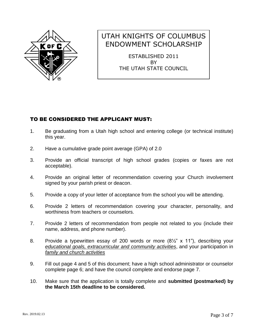

## UTAH KNIGHTS OF COLUMBUS ENDOWMENT SCHOLARSHIP

ESTABLISHED 2011 **BY** THE UTAH STATE COUNCIL

#### TO BE CONSIDERED THE APPLICANT MUST:

- 1. Be graduating from a Utah high school and entering college (or technical institute) this year.
- 2. Have a cumulative grade point average (GPA) of 2.0
- 3. Provide an official transcript of high school grades (copies or faxes are not acceptable).
- 4. Provide an original letter of recommendation covering your Church involvement signed by your parish priest or deacon.
- 5. Provide a copy of your letter of acceptance from the school you will be attending.
- 6. Provide 2 letters of recommendation covering your character, personality, and worthiness from teachers or counselors.
- 7. Provide 2 letters of recommendation from people not related to you (include their name, address, and phone number).
- 8. Provide a typewritten essay of 200 words or more (8½" x 11"), describing your *educational goals, extracurricular and community activities*, and your participation in *family and church activities*
- 9. Fill out page 4 and 5 of this document; have a high school administrator or counselor complete page 6; and have the council complete and endorse page 7.
- 10. Make sure that the application is totally complete and **submitted (postmarked) by the March 15th deadline to be considered.**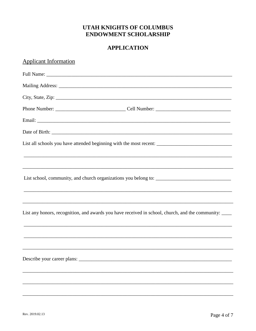#### **UTAH KNIGHTS OF COLUMBUS ENDOWMENT SCHOLARSHIP**

#### **APPLICATION**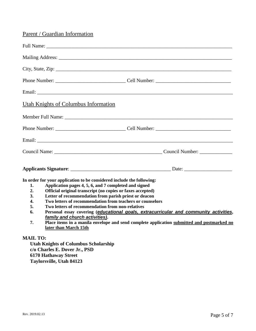#### Parent / Guardian Information

|                                                      | Utah Knights of Columbus Information                                                                                                                                                                                                                                                                                                                                                                                                                                                                                                                                                                                     |  |
|------------------------------------------------------|--------------------------------------------------------------------------------------------------------------------------------------------------------------------------------------------------------------------------------------------------------------------------------------------------------------------------------------------------------------------------------------------------------------------------------------------------------------------------------------------------------------------------------------------------------------------------------------------------------------------------|--|
|                                                      |                                                                                                                                                                                                                                                                                                                                                                                                                                                                                                                                                                                                                          |  |
|                                                      |                                                                                                                                                                                                                                                                                                                                                                                                                                                                                                                                                                                                                          |  |
|                                                      |                                                                                                                                                                                                                                                                                                                                                                                                                                                                                                                                                                                                                          |  |
|                                                      |                                                                                                                                                                                                                                                                                                                                                                                                                                                                                                                                                                                                                          |  |
|                                                      |                                                                                                                                                                                                                                                                                                                                                                                                                                                                                                                                                                                                                          |  |
| 1.<br>2.<br>3.<br>$\overline{4}$ .<br>5.<br>6.<br>7. | In order for your application to be considered include the following:<br>Application pages 4, 5, 6, and 7 completed and signed<br>Official original transcript (no copies or faxes accepted)<br>Letter of recommendation from parish priest or deacon<br>Two letters of recommendation from teachers or counselors<br>Two letters of recommendation from non-relatives<br>Personal essay covering (educational goals, extracurricular and community activities,<br>family and church activities).<br>Place items in a manila envelope and send complete application submitted and postmarked no<br>later than March 15th |  |

#### **MAIL TO:**

**Utah Knights of Columbus Scholarship c/o Charles E. Dover Jr., PSD 6170 Hathaway Street Taylorsville, Utah 84123**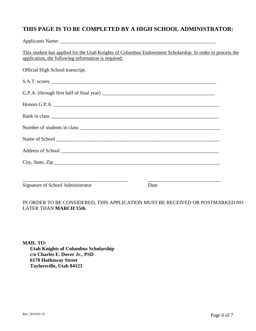#### **THIS PAGE IS TO BE COMPLETED BY A HIGH SCHOOL ADMINISTRATOR:**

Applicants Name: \_\_\_\_\_\_\_\_\_\_\_\_\_\_\_\_\_\_\_\_\_\_\_\_\_\_\_\_\_\_\_\_\_\_\_\_\_\_\_\_\_\_\_\_\_\_\_\_\_\_\_\_\_\_\_\_\_\_\_\_\_\_ This student has applied for the Utah Knights of Columbus Endowment Scholarship. In order to process the application, the following information is required: Official High School transcript. S.A.T. scores \_\_\_\_\_\_\_\_\_\_\_\_\_\_\_\_\_\_\_\_\_\_\_\_\_\_\_\_\_\_\_\_\_\_\_\_\_\_\_\_\_\_\_\_\_\_\_\_\_\_\_\_\_\_\_\_\_\_\_\_\_\_\_\_\_\_ G.P.A. (through first half of final year) \_\_\_\_\_\_\_\_\_\_\_\_\_\_\_\_\_\_\_\_\_\_\_\_\_\_\_\_\_\_\_\_\_\_\_\_\_\_\_\_\_\_\_\_\_ Honors G.P.A. \_\_\_\_\_\_\_\_\_\_\_\_\_\_\_\_\_\_\_\_\_\_\_\_\_\_\_\_\_\_\_\_\_\_\_\_\_\_\_\_\_\_\_\_\_\_\_\_\_\_\_\_\_\_\_\_\_\_\_\_\_\_\_\_\_\_ Rank in class \_\_\_\_\_\_\_\_\_\_\_\_\_\_\_\_\_\_\_\_\_\_\_\_\_\_\_\_\_\_\_\_\_\_\_\_\_\_\_\_\_\_\_\_\_\_\_\_\_\_\_\_\_\_\_\_\_\_\_\_\_\_\_\_\_\_\_ Number of students in class Name of School \_\_\_\_\_\_\_\_\_\_\_\_\_\_\_\_\_\_\_\_\_\_\_\_\_\_\_\_\_\_\_\_\_\_\_\_\_\_\_\_\_\_\_\_\_\_\_\_\_\_\_\_\_\_\_\_\_\_\_\_\_\_\_\_\_ Address of School  $\overline{a}$ City, State, Zip \_\_\_\_\_\_\_\_\_\_\_\_\_\_\_\_\_\_\_\_\_\_\_\_\_\_\_\_\_\_\_\_\_\_\_\_\_\_\_\_\_\_\_\_\_\_\_\_\_\_\_\_\_\_\_\_\_\_\_\_\_\_\_\_\_\_ \_\_\_\_\_\_\_\_\_\_\_\_\_\_\_\_\_\_\_\_\_\_\_\_\_\_\_\_\_\_\_\_\_\_\_\_\_\_\_\_\_\_ \_\_\_\_\_\_\_\_\_\_\_\_\_\_\_\_\_\_\_\_\_\_\_\_\_\_\_\_\_ Signature of School Administrator Date

IN ORDER TO BE CONSIDERED, THIS APPLICATION MUST BE RECEIVED OR POSTMARKED NO LATER THAN **MARCH 15th**.

**MAIL TO: Utah Knights of Columbus Scholarship c/o Charles E. Dover Jr., PSD 6170 Hathaway Street Taylorsville, Utah 84123**